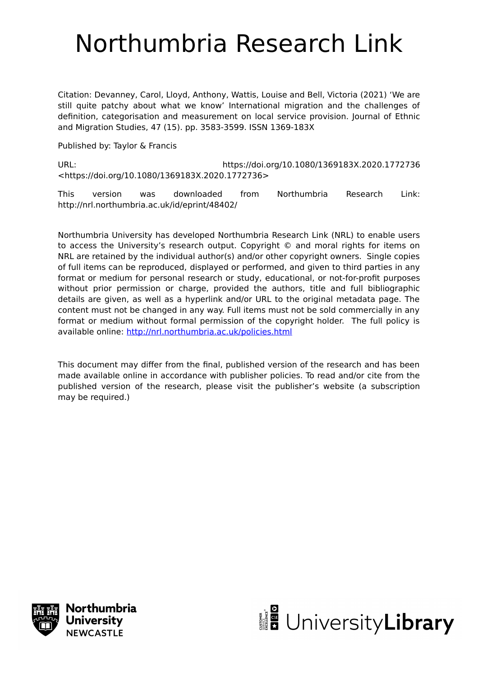# Northumbria Research Link

Citation: Devanney, Carol, Lloyd, Anthony, Wattis, Louise and Bell, Victoria (2021) 'We are still quite patchy about what we know' International migration and the challenges of definition, categorisation and measurement on local service provision. Journal of Ethnic and Migration Studies, 47 (15). pp. 3583-3599. ISSN 1369-183X

Published by: Taylor & Francis

URL: https://doi.org/10.1080/1369183X.2020.1772736 <https://doi.org/10.1080/1369183X.2020.1772736>

This version was downloaded from Northumbria Research Link: http://nrl.northumbria.ac.uk/id/eprint/48402/

Northumbria University has developed Northumbria Research Link (NRL) to enable users to access the University's research output. Copyright © and moral rights for items on NRL are retained by the individual author(s) and/or other copyright owners. Single copies of full items can be reproduced, displayed or performed, and given to third parties in any format or medium for personal research or study, educational, or not-for-profit purposes without prior permission or charge, provided the authors, title and full bibliographic details are given, as well as a hyperlink and/or URL to the original metadata page. The content must not be changed in any way. Full items must not be sold commercially in any format or medium without formal permission of the copyright holder. The full policy is available online:<http://nrl.northumbria.ac.uk/policies.html>

This document may differ from the final, published version of the research and has been made available online in accordance with publisher policies. To read and/or cite from the published version of the research, please visit the publisher's website (a subscription may be required.)



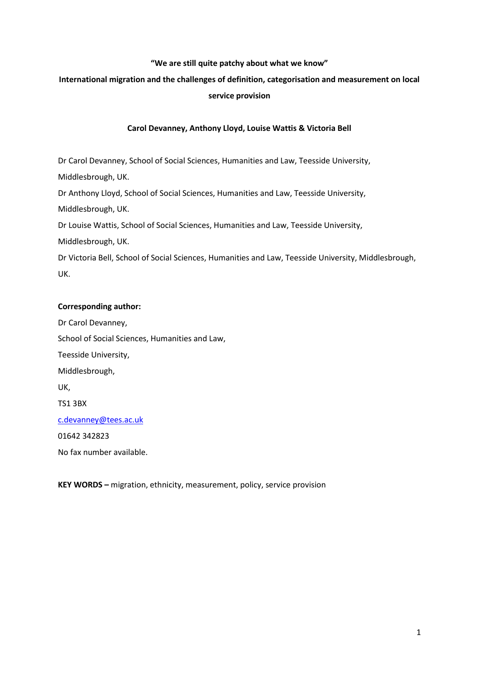### **"We are still quite patchy about what we know"**

# **International migration and the challenges of definition, categorisation and measurement on local service provision**

## **Carol Devanney, Anthony Lloyd, Louise Wattis & Victoria Bell**

Dr Carol Devanney, School of Social Sciences, Humanities and Law, Teesside University, Middlesbrough, UK. Dr Anthony Lloyd, School of Social Sciences, Humanities and Law, Teesside University, Middlesbrough, UK. Dr Louise Wattis, School of Social Sciences, Humanities and Law, Teesside University, Middlesbrough, UK. Dr Victoria Bell, School of Social Sciences, Humanities and Law, Teesside University, Middlesbrough, UK.

## **Corresponding author:**

Dr Carol Devanney, School of Social Sciences, Humanities and Law, Teesside University, Middlesbrough, UK, TS1 3BX [c.devanney@tees.ac.uk](mailto:c.devanney@tees.ac.uk) 01642 342823 No fax number available.

**KEY WORDS –** migration, ethnicity, measurement, policy, service provision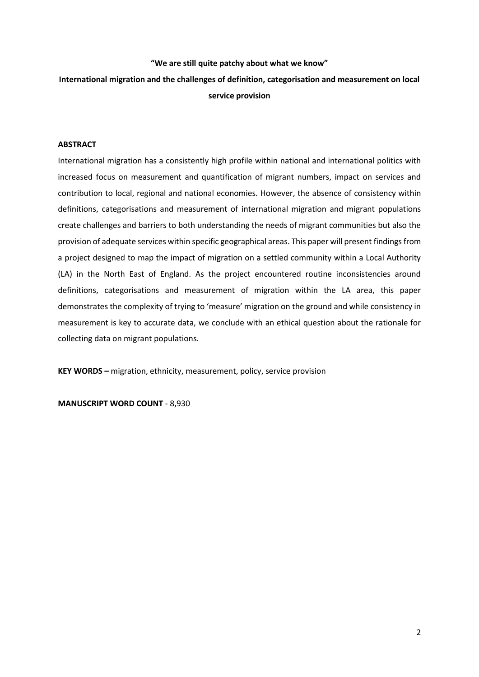#### **"We are still quite patchy about what we know"**

# **International migration and the challenges of definition, categorisation and measurement on local service provision**

#### **ABSTRACT**

International migration has a consistently high profile within national and international politics with increased focus on measurement and quantification of migrant numbers, impact on services and contribution to local, regional and national economies. However, the absence of consistency within definitions, categorisations and measurement of international migration and migrant populations create challenges and barriers to both understanding the needs of migrant communities but also the provision of adequate services within specific geographical areas. This paper will present findings from a project designed to map the impact of migration on a settled community within a Local Authority (LA) in the North East of England. As the project encountered routine inconsistencies around definitions, categorisations and measurement of migration within the LA area, this paper demonstrates the complexity of trying to 'measure' migration on the ground and while consistency in measurement is key to accurate data, we conclude with an ethical question about the rationale for collecting data on migrant populations.

**KEY WORDS –** migration, ethnicity, measurement, policy, service provision

**MANUSCRIPT WORD COUNT** - 8,930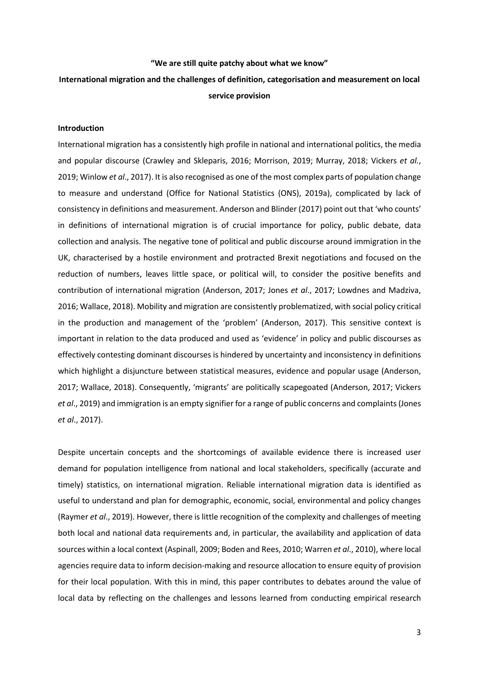#### **"We are still quite patchy about what we know"**

## **International migration and the challenges of definition, categorisation and measurement on local service provision**

#### **Introduction**

International migration has a consistently high profile in national and international politics, the media and popular discourse (Crawley and Skleparis, 2016; Morrison, 2019; Murray, 2018; Vickers *et al.*, 2019; Winlow *et al*., 2017). It is also recognised as one of the most complex parts of population change to measure and understand (Office for National Statistics (ONS), 2019a), complicated by lack of consistency in definitions and measurement. Anderson and Blinder (2017) point out that 'who counts' in definitions of international migration is of crucial importance for policy, public debate, data collection and analysis. The negative tone of political and public discourse around immigration in the UK, characterised by a hostile environment and protracted Brexit negotiations and focused on the reduction of numbers, leaves little space, or political will, to consider the positive benefits and contribution of international migration (Anderson, 2017; Jones *et al*., 2017; Lowdnes and Madziva, 2016; Wallace, 2018). Mobility and migration are consistently problematized, with social policy critical in the production and management of the 'problem' (Anderson, 2017). This sensitive context is important in relation to the data produced and used as 'evidence' in policy and public discourses as effectively contesting dominant discourses is hindered by uncertainty and inconsistency in definitions which highlight a disjuncture between statistical measures, evidence and popular usage (Anderson, 2017; Wallace, 2018). Consequently, 'migrants' are politically scapegoated (Anderson, 2017; Vickers *et al*., 2019) and immigration is an empty signifier for a range of public concerns and complaints (Jones *et al*., 2017).

Despite uncertain concepts and the shortcomings of available evidence there is increased user demand for population intelligence from national and local stakeholders, specifically (accurate and timely) statistics, on international migration. Reliable international migration data is identified as useful to understand and plan for demographic, economic, social, environmental and policy changes (Raymer *et al*., 2019). However, there is little recognition of the complexity and challenges of meeting both local and national data requirements and, in particular, the availability and application of data sources within a local context (Aspinall, 2009; Boden and Rees, 2010; Warren *et al*., 2010), where local agencies require data to inform decision-making and resource allocation to ensure equity of provision for their local population. With this in mind, this paper contributes to debates around the value of local data by reflecting on the challenges and lessons learned from conducting empirical research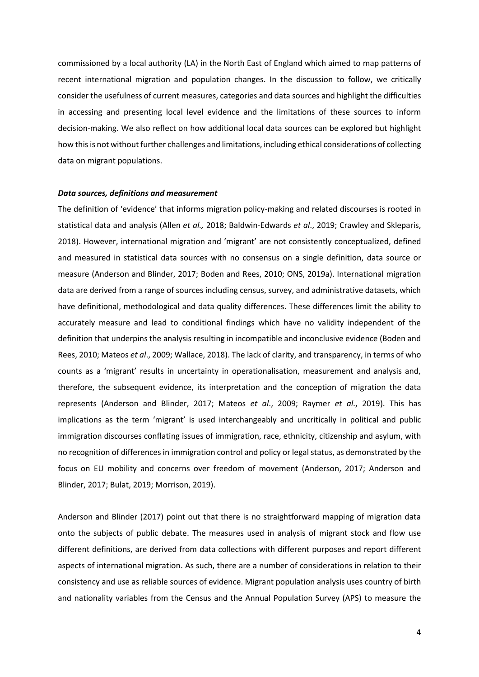commissioned by a local authority (LA) in the North East of England which aimed to map patterns of recent international migration and population changes. In the discussion to follow, we critically consider the usefulness of current measures, categories and data sources and highlight the difficulties in accessing and presenting local level evidence and the limitations of these sources to inform decision-making. We also reflect on how additional local data sources can be explored but highlight how this is not without further challenges and limitations, including ethical considerations of collecting data on migrant populations.

#### *Data sources, definitions and measurement*

The definition of 'evidence' that informs migration policy-making and related discourses is rooted in statistical data and analysis (Allen *et al.,* 2018; Baldwin-Edwards *et al*., 2019; Crawley and Skleparis, 2018). However, international migration and 'migrant' are not consistently conceptualized, defined and measured in statistical data sources with no consensus on a single definition, data source or measure (Anderson and Blinder, 2017; Boden and Rees, 2010; ONS, 2019a). International migration data are derived from a range of sources including census, survey, and administrative datasets, which have definitional, methodological and data quality differences. These differences limit the ability to accurately measure and lead to conditional findings which have no validity independent of the definition that underpins the analysis resulting in incompatible and inconclusive evidence (Boden and Rees, 2010; Mateos *et al*., 2009; Wallace, 2018). The lack of clarity, and transparency, in terms of who counts as a 'migrant' results in uncertainty in operationalisation, measurement and analysis and, therefore, the subsequent evidence, its interpretation and the conception of migration the data represents (Anderson and Blinder, 2017; Mateos *et al*., 2009; Raymer *et al*., 2019). This has implications as the term 'migrant' is used interchangeably and uncritically in political and public immigration discourses conflating issues of immigration, race, ethnicity, citizenship and asylum, with no recognition of differences in immigration control and policy or legal status, as demonstrated by the focus on EU mobility and concerns over freedom of movement (Anderson, 2017; Anderson and Blinder, 2017; Bulat, 2019; Morrison, 2019).

Anderson and Blinder (2017) point out that there is no straightforward mapping of migration data onto the subjects of public debate. The measures used in analysis of migrant stock and flow use different definitions, are derived from data collections with different purposes and report different aspects of international migration. As such, there are a number of considerations in relation to their consistency and use as reliable sources of evidence. Migrant population analysis uses country of birth and nationality variables from the Census and the Annual Population Survey (APS) to measure the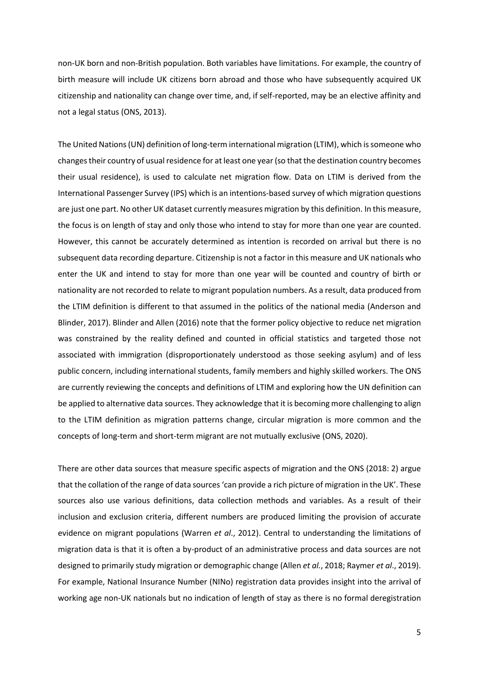non-UK born and non-British population. Both variables have limitations. For example, the country of birth measure will include UK citizens born abroad and those who have subsequently acquired UK citizenship and nationality can change over time, and, if self-reported, may be an elective affinity and not a legal status (ONS, 2013).

The United Nations (UN) definition of long-term international migration (LTIM), which is someone who changes their country of usual residence for at least one year (so that the destination country becomes their usual residence), is used to calculate net migration flow. Data on LTIM is derived from the International Passenger Survey (IPS) which is an intentions-based survey of which migration questions are just one part. No other UK dataset currently measures migration by this definition. In this measure, the focus is on length of stay and only those who intend to stay for more than one year are counted. However, this cannot be accurately determined as intention is recorded on arrival but there is no subsequent data recording departure. Citizenship is not a factor in this measure and UK nationals who enter the UK and intend to stay for more than one year will be counted and country of birth or nationality are not recorded to relate to migrant population numbers. As a result, data produced from the LTIM definition is different to that assumed in the politics of the national media (Anderson and Blinder, 2017). Blinder and Allen (2016) note that the former policy objective to reduce net migration was constrained by the reality defined and counted in official statistics and targeted those not associated with immigration (disproportionately understood as those seeking asylum) and of less public concern, including international students, family members and highly skilled workers. The ONS are currently reviewing the concepts and definitions of LTIM and exploring how the UN definition can be applied to alternative data sources. They acknowledge that it is becoming more challenging to align to the LTIM definition as migration patterns change, circular migration is more common and the concepts of long-term and short-term migrant are not mutually exclusive (ONS, 2020).

There are other data sources that measure specific aspects of migration and the ONS (2018: 2) argue that the collation of the range of data sources 'can provide a rich picture of migration in the UK'. These sources also use various definitions, data collection methods and variables. As a result of their inclusion and exclusion criteria, different numbers are produced limiting the provision of accurate evidence on migrant populations (Warren *et al*., 2012). Central to understanding the limitations of migration data is that it is often a by-product of an administrative process and data sources are not designed to primarily study migration or demographic change (Allen *et al.*, 2018; Raymer *et al*., 2019). For example, National Insurance Number (NINo) registration data provides insight into the arrival of working age non-UK nationals but no indication of length of stay as there is no formal deregistration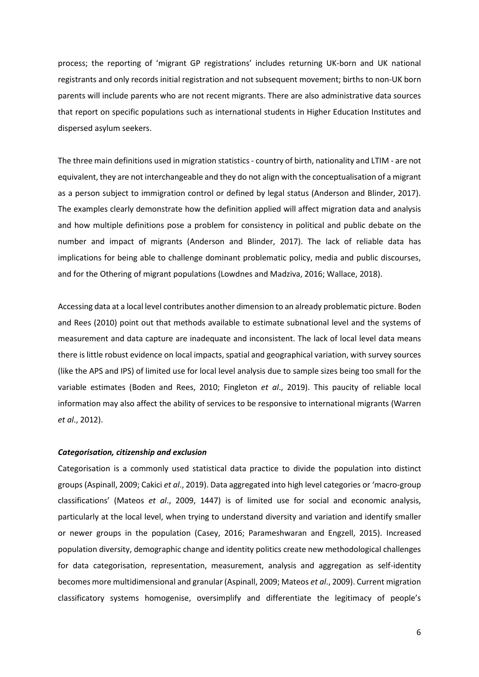process; the reporting of 'migrant GP registrations' includes returning UK-born and UK national registrants and only records initial registration and not subsequent movement; births to non-UK born parents will include parents who are not recent migrants. There are also administrative data sources that report on specific populations such as international students in Higher Education Institutes and dispersed asylum seekers.

The three main definitions used in migration statistics - country of birth, nationality and LTIM - are not equivalent, they are not interchangeable and they do not align with the conceptualisation of a migrant as a person subject to immigration control or defined by legal status (Anderson and Blinder, 2017). The examples clearly demonstrate how the definition applied will affect migration data and analysis and how multiple definitions pose a problem for consistency in political and public debate on the number and impact of migrants (Anderson and Blinder, 2017). The lack of reliable data has implications for being able to challenge dominant problematic policy, media and public discourses, and for the Othering of migrant populations (Lowdnes and Madziva, 2016; Wallace, 2018).

Accessing data at a local level contributes another dimension to an already problematic picture. Boden and Rees (2010) point out that methods available to estimate subnational level and the systems of measurement and data capture are inadequate and inconsistent. The lack of local level data means there is little robust evidence on local impacts, spatial and geographical variation, with survey sources (like the APS and IPS) of limited use for local level analysis due to sample sizes being too small for the variable estimates (Boden and Rees, 2010; Fingleton *et al*., 2019). This paucity of reliable local information may also affect the ability of services to be responsive to international migrants (Warren *et al*., 2012).

#### *Categorisation, citizenship and exclusion*

Categorisation is a commonly used statistical data practice to divide the population into distinct groups (Aspinall, 2009; Cakici *et al*., 2019). Data aggregated into high level categories or 'macro-group classifications' (Mateos *et al*., 2009, 1447) is of limited use for social and economic analysis, particularly at the local level, when trying to understand diversity and variation and identify smaller or newer groups in the population (Casey, 2016; Parameshwaran and Engzell, 2015). Increased population diversity, demographic change and identity politics create new methodological challenges for data categorisation, representation, measurement, analysis and aggregation as self-identity becomes more multidimensional and granular (Aspinall, 2009; Mateos *et al*., 2009). Current migration classificatory systems homogenise, oversimplify and differentiate the legitimacy of people's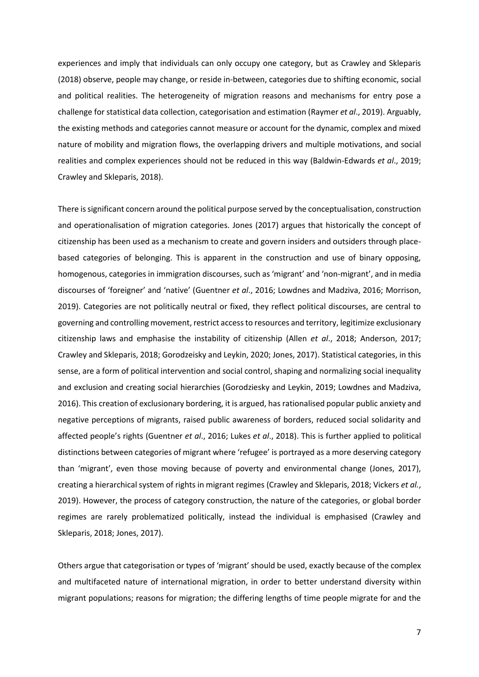experiences and imply that individuals can only occupy one category, but as Crawley and Skleparis (2018) observe, people may change, or reside in-between, categories due to shifting economic, social and political realities. The heterogeneity of migration reasons and mechanisms for entry pose a challenge for statistical data collection, categorisation and estimation (Raymer *et al*., 2019). Arguably, the existing methods and categories cannot measure or account for the dynamic, complex and mixed nature of mobility and migration flows, the overlapping drivers and multiple motivations, and social realities and complex experiences should not be reduced in this way (Baldwin-Edwards *et al*., 2019; Crawley and Skleparis, 2018).

There is significant concern around the political purpose served by the conceptualisation, construction and operationalisation of migration categories. Jones (2017) argues that historically the concept of citizenship has been used as a mechanism to create and govern insiders and outsiders through placebased categories of belonging. This is apparent in the construction and use of binary opposing, homogenous, categories in immigration discourses, such as 'migrant' and 'non-migrant', and in media discourses of 'foreigner' and 'native' (Guentner *et al*., 2016; Lowdnes and Madziva, 2016; Morrison, 2019). Categories are not politically neutral or fixed, they reflect political discourses, are central to governing and controlling movement, restrict access to resources and territory, legitimize exclusionary citizenship laws and emphasise the instability of citizenship (Allen *et al*., 2018; Anderson, 2017; Crawley and Skleparis, 2018; Gorodzeisky and Leykin, 2020; Jones, 2017). Statistical categories, in this sense, are a form of political intervention and social control, shaping and normalizing social inequality and exclusion and creating social hierarchies (Gorodziesky and Leykin, 2019; Lowdnes and Madziva, 2016). This creation of exclusionary bordering, it is argued, has rationalised popular public anxiety and negative perceptions of migrants, raised public awareness of borders, reduced social solidarity and affected people's rights (Guentner *et al*., 2016; Lukes *et al*., 2018). This is further applied to political distinctions between categories of migrant where 'refugee' is portrayed as a more deserving category than 'migrant', even those moving because of poverty and environmental change (Jones, 2017), creating a hierarchical system of rights in migrant regimes (Crawley and Skleparis, 2018; Vickers *et al.*, 2019). However, the process of category construction, the nature of the categories, or global border regimes are rarely problematized politically, instead the individual is emphasised (Crawley and Skleparis, 2018; Jones, 2017).

Others argue that categorisation or types of 'migrant' should be used, exactly because of the complex and multifaceted nature of international migration, in order to better understand diversity within migrant populations; reasons for migration; the differing lengths of time people migrate for and the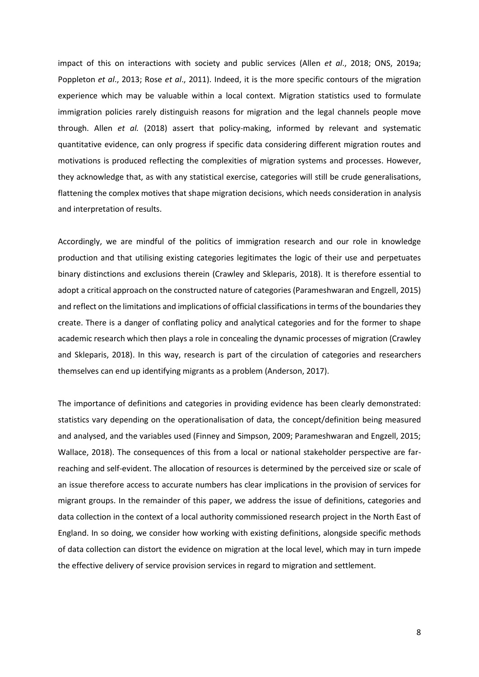impact of this on interactions with society and public services (Allen *et al*., 2018; ONS, 2019a; Poppleton *et al*., 2013; Rose *et al*., 2011). Indeed, it is the more specific contours of the migration experience which may be valuable within a local context. Migration statistics used to formulate immigration policies rarely distinguish reasons for migration and the legal channels people move through. Allen *et al.* (2018) assert that policy-making, informed by relevant and systematic quantitative evidence, can only progress if specific data considering different migration routes and motivations is produced reflecting the complexities of migration systems and processes. However, they acknowledge that, as with any statistical exercise, categories will still be crude generalisations, flattening the complex motives that shape migration decisions, which needs consideration in analysis and interpretation of results.

Accordingly, we are mindful of the politics of immigration research and our role in knowledge production and that utilising existing categories legitimates the logic of their use and perpetuates binary distinctions and exclusions therein (Crawley and Skleparis, 2018). It is therefore essential to adopt a critical approach on the constructed nature of categories (Parameshwaran and Engzell, 2015) and reflect on the limitations and implications of official classifications in terms of the boundaries they create. There is a danger of conflating policy and analytical categories and for the former to shape academic research which then plays a role in concealing the dynamic processes of migration (Crawley and Skleparis, 2018). In this way, research is part of the circulation of categories and researchers themselves can end up identifying migrants as a problem (Anderson, 2017).

The importance of definitions and categories in providing evidence has been clearly demonstrated: statistics vary depending on the operationalisation of data, the concept/definition being measured and analysed, and the variables used (Finney and Simpson, 2009; Parameshwaran and Engzell, 2015; Wallace, 2018). The consequences of this from a local or national stakeholder perspective are farreaching and self-evident. The allocation of resources is determined by the perceived size or scale of an issue therefore access to accurate numbers has clear implications in the provision of services for migrant groups. In the remainder of this paper, we address the issue of definitions, categories and data collection in the context of a local authority commissioned research project in the North East of England. In so doing, we consider how working with existing definitions, alongside specific methods of data collection can distort the evidence on migration at the local level, which may in turn impede the effective delivery of service provision services in regard to migration and settlement.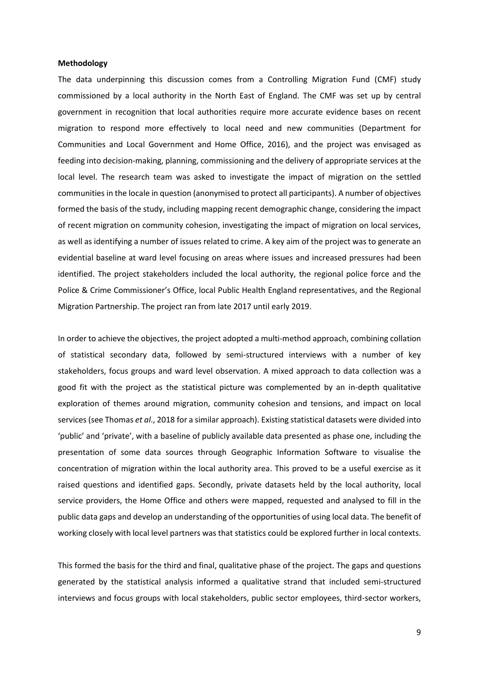#### **Methodology**

The data underpinning this discussion comes from a Controlling Migration Fund (CMF) study commissioned by a local authority in the North East of England. The CMF was set up by central government in recognition that local authorities require more accurate evidence bases on recent migration to respond more effectively to local need and new communities (Department for Communities and Local Government and Home Office, 2016), and the project was envisaged as feeding into decision-making, planning, commissioning and the delivery of appropriate services at the local level. The research team was asked to investigate the impact of migration on the settled communities in the locale in question (anonymised to protect all participants). A number of objectives formed the basis of the study, including mapping recent demographic change, considering the impact of recent migration on community cohesion, investigating the impact of migration on local services, as well as identifying a number of issues related to crime. A key aim of the project was to generate an evidential baseline at ward level focusing on areas where issues and increased pressures had been identified. The project stakeholders included the local authority, the regional police force and the Police & Crime Commissioner's Office, local Public Health England representatives, and the Regional Migration Partnership. The project ran from late 2017 until early 2019.

In order to achieve the objectives, the project adopted a multi-method approach, combining collation of statistical secondary data, followed by semi-structured interviews with a number of key stakeholders, focus groups and ward level observation. A mixed approach to data collection was a good fit with the project as the statistical picture was complemented by an in-depth qualitative exploration of themes around migration, community cohesion and tensions, and impact on local services (see Thomas *et al*., 2018 for a similar approach). Existing statistical datasets were divided into 'public' and 'private', with a baseline of publicly available data presented as phase one, including the presentation of some data sources through Geographic Information Software to visualise the concentration of migration within the local authority area. This proved to be a useful exercise as it raised questions and identified gaps. Secondly, private datasets held by the local authority, local service providers, the Home Office and others were mapped, requested and analysed to fill in the public data gaps and develop an understanding of the opportunities of using local data. The benefit of working closely with local level partners was that statistics could be explored further in local contexts.

This formed the basis for the third and final, qualitative phase of the project. The gaps and questions generated by the statistical analysis informed a qualitative strand that included semi-structured interviews and focus groups with local stakeholders, public sector employees, third-sector workers,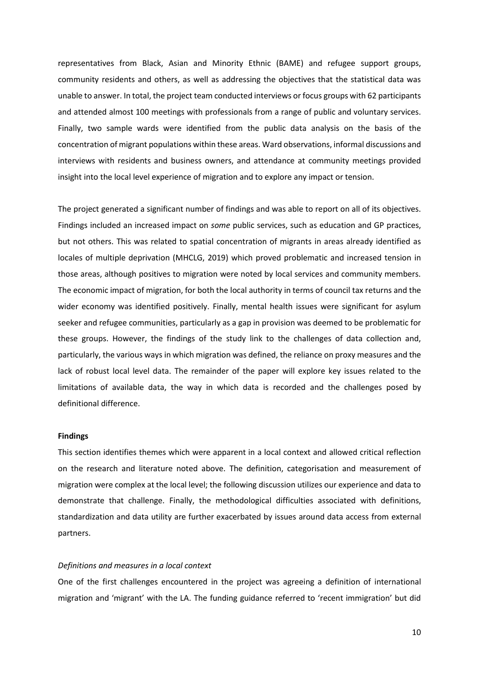representatives from Black, Asian and Minority Ethnic (BAME) and refugee support groups, community residents and others, as well as addressing the objectives that the statistical data was unable to answer. In total, the project team conducted interviews or focus groups with 62 participants and attended almost 100 meetings with professionals from a range of public and voluntary services. Finally, two sample wards were identified from the public data analysis on the basis of the concentration of migrant populations within these areas. Ward observations, informal discussions and interviews with residents and business owners, and attendance at community meetings provided insight into the local level experience of migration and to explore any impact or tension.

The project generated a significant number of findings and was able to report on all of its objectives. Findings included an increased impact on *some* public services, such as education and GP practices, but not others. This was related to spatial concentration of migrants in areas already identified as locales of multiple deprivation (MHCLG, 2019) which proved problematic and increased tension in those areas, although positives to migration were noted by local services and community members. The economic impact of migration, for both the local authority in terms of council tax returns and the wider economy was identified positively. Finally, mental health issues were significant for asylum seeker and refugee communities, particularly as a gap in provision was deemed to be problematic for these groups. However, the findings of the study link to the challenges of data collection and, particularly, the various ways in which migration was defined, the reliance on proxy measures and the lack of robust local level data. The remainder of the paper will explore key issues related to the limitations of available data, the way in which data is recorded and the challenges posed by definitional difference.

#### **Findings**

This section identifies themes which were apparent in a local context and allowed critical reflection on the research and literature noted above. The definition, categorisation and measurement of migration were complex at the local level; the following discussion utilizes our experience and data to demonstrate that challenge. Finally, the methodological difficulties associated with definitions, standardization and data utility are further exacerbated by issues around data access from external partners.

#### *Definitions and measures in a local context*

One of the first challenges encountered in the project was agreeing a definition of international migration and 'migrant' with the LA. The funding guidance referred to 'recent immigration' but did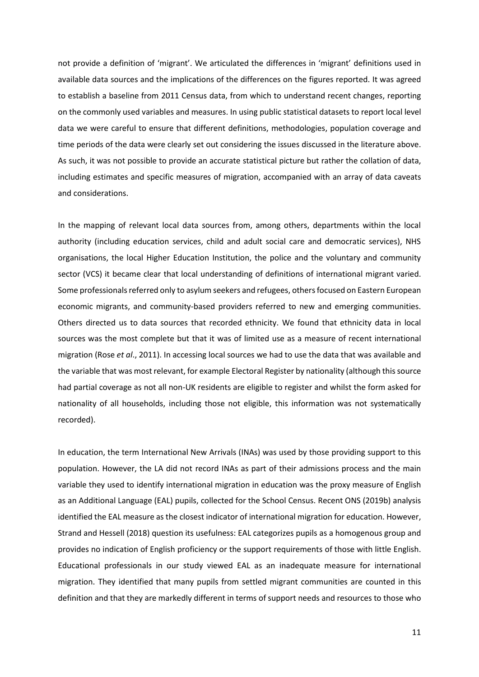not provide a definition of 'migrant'. We articulated the differences in 'migrant' definitions used in available data sources and the implications of the differences on the figures reported. It was agreed to establish a baseline from 2011 Census data, from which to understand recent changes, reporting on the commonly used variables and measures. In using public statistical datasets to report local level data we were careful to ensure that different definitions, methodologies, population coverage and time periods of the data were clearly set out considering the issues discussed in the literature above. As such, it was not possible to provide an accurate statistical picture but rather the collation of data, including estimates and specific measures of migration, accompanied with an array of data caveats and considerations.

In the mapping of relevant local data sources from, among others, departments within the local authority (including education services, child and adult social care and democratic services), NHS organisations, the local Higher Education Institution, the police and the voluntary and community sector (VCS) it became clear that local understanding of definitions of international migrant varied. Some professionals referred only to asylum seekers and refugees, others focused on Eastern European economic migrants, and community-based providers referred to new and emerging communities. Others directed us to data sources that recorded ethnicity. We found that ethnicity data in local sources was the most complete but that it was of limited use as a measure of recent international migration (Rose *et al*., 2011). In accessing local sources we had to use the data that was available and the variable that was most relevant, for example Electoral Register by nationality (although this source had partial coverage as not all non-UK residents are eligible to register and whilst the form asked for nationality of all households, including those not eligible, this information was not systematically recorded).

In education, the term International New Arrivals (INAs) was used by those providing support to this population. However, the LA did not record INAs as part of their admissions process and the main variable they used to identify international migration in education was the proxy measure of English as an Additional Language (EAL) pupils, collected for the School Census. Recent ONS (2019b) analysis identified the EAL measure as the closest indicator of international migration for education. However, Strand and Hessell (2018) question its usefulness: EAL categorizes pupils as a homogenous group and provides no indication of English proficiency or the support requirements of those with little English. Educational professionals in our study viewed EAL as an inadequate measure for international migration. They identified that many pupils from settled migrant communities are counted in this definition and that they are markedly different in terms of support needs and resources to those who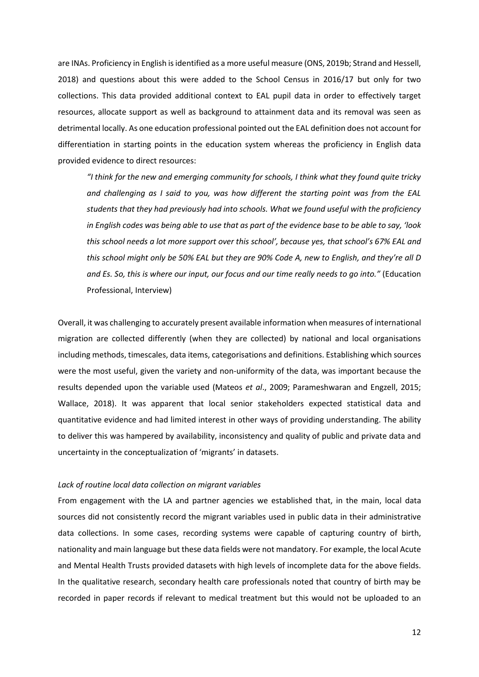are INAs. Proficiency in English is identified as a more useful measure (ONS, 2019b; Strand and Hessell, 2018) and questions about this were added to the School Census in 2016/17 but only for two collections. This data provided additional context to EAL pupil data in order to effectively target resources, allocate support as well as background to attainment data and its removal was seen as detrimental locally. As one education professional pointed out the EAL definition does not account for differentiation in starting points in the education system whereas the proficiency in English data provided evidence to direct resources:

*"I think for the new and emerging community for schools, I think what they found quite tricky and challenging as I said to you, was how different the starting point was from the EAL students that they had previously had into schools. What we found useful with the proficiency in English codes was being able to use that as part of the evidence base to be able to say, 'look this school needs a lot more support over this school', because yes, that school's 67% EAL and this school might only be 50% EAL but they are 90% Code A, new to English, and they're all D and Es. So, this is where our input, our focus and our time really needs to go into."* (Education Professional, Interview)

Overall, it was challenging to accurately present available information when measures of international migration are collected differently (when they are collected) by national and local organisations including methods, timescales, data items, categorisations and definitions. Establishing which sources were the most useful, given the variety and non-uniformity of the data, was important because the results depended upon the variable used (Mateos *et al*., 2009; Parameshwaran and Engzell, 2015; Wallace, 2018). It was apparent that local senior stakeholders expected statistical data and quantitative evidence and had limited interest in other ways of providing understanding. The ability to deliver this was hampered by availability, inconsistency and quality of public and private data and uncertainty in the conceptualization of 'migrants' in datasets.

#### *Lack of routine local data collection on migrant variables*

From engagement with the LA and partner agencies we established that, in the main, local data sources did not consistently record the migrant variables used in public data in their administrative data collections. In some cases, recording systems were capable of capturing country of birth, nationality and main language but these data fields were not mandatory. For example, the local Acute and Mental Health Trusts provided datasets with high levels of incomplete data for the above fields. In the qualitative research, secondary health care professionals noted that country of birth may be recorded in paper records if relevant to medical treatment but this would not be uploaded to an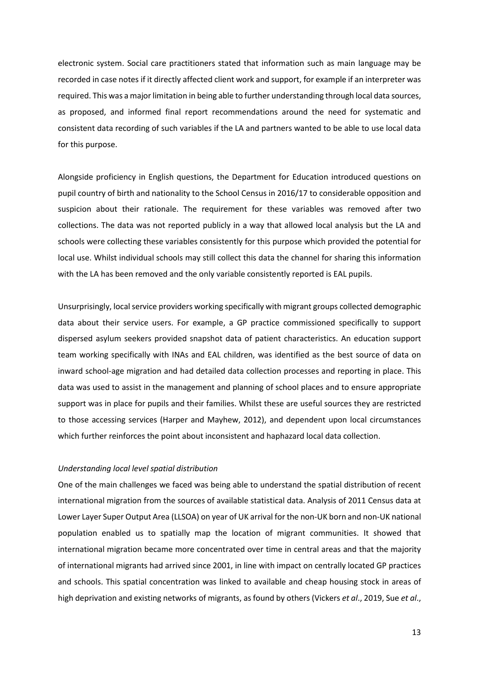electronic system. Social care practitioners stated that information such as main language may be recorded in case notes if it directly affected client work and support, for example if an interpreter was required. This was a major limitation in being able to further understanding through local data sources, as proposed, and informed final report recommendations around the need for systematic and consistent data recording of such variables if the LA and partners wanted to be able to use local data for this purpose.

Alongside proficiency in English questions, the Department for Education introduced questions on pupil country of birth and nationality to the School Census in 2016/17 to considerable opposition and suspicion about their rationale. The requirement for these variables was removed after two collections. The data was not reported publicly in a way that allowed local analysis but the LA and schools were collecting these variables consistently for this purpose which provided the potential for local use. Whilst individual schools may still collect this data the channel for sharing this information with the LA has been removed and the only variable consistently reported is EAL pupils.

Unsurprisingly, local service providers working specifically with migrant groups collected demographic data about their service users. For example, a GP practice commissioned specifically to support dispersed asylum seekers provided snapshot data of patient characteristics. An education support team working specifically with INAs and EAL children, was identified as the best source of data on inward school-age migration and had detailed data collection processes and reporting in place. This data was used to assist in the management and planning of school places and to ensure appropriate support was in place for pupils and their families. Whilst these are useful sources they are restricted to those accessing services (Harper and Mayhew, 2012), and dependent upon local circumstances which further reinforces the point about inconsistent and haphazard local data collection.

#### *Understanding local level spatial distribution*

One of the main challenges we faced was being able to understand the spatial distribution of recent international migration from the sources of available statistical data. Analysis of 2011 Census data at Lower Layer Super Output Area (LLSOA) on year of UK arrival for the non-UK born and non-UK national population enabled us to spatially map the location of migrant communities. It showed that international migration became more concentrated over time in central areas and that the majority of international migrants had arrived since 2001, in line with impact on centrally located GP practices and schools. This spatial concentration was linked to available and cheap housing stock in areas of high deprivation and existing networks of migrants, as found by others (Vickers *et al*., 2019, Sue *et al*.,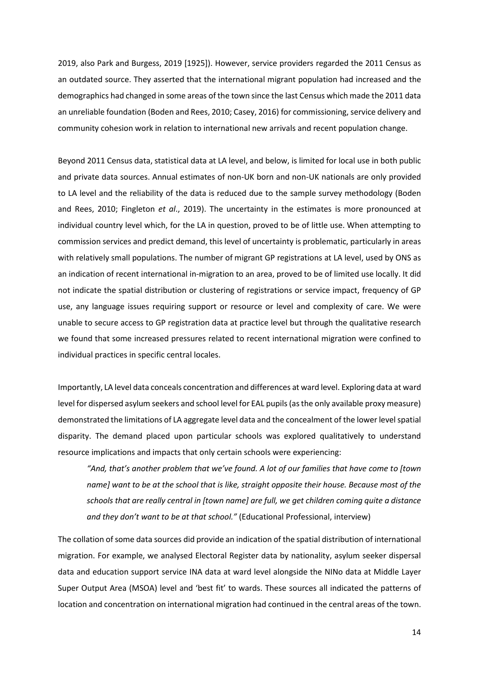2019, also Park and Burgess, 2019 [1925]). However, service providers regarded the 2011 Census as an outdated source. They asserted that the international migrant population had increased and the demographics had changed in some areas of the town since the last Census which made the 2011 data an unreliable foundation (Boden and Rees, 2010; Casey, 2016) for commissioning, service delivery and community cohesion work in relation to international new arrivals and recent population change.

Beyond 2011 Census data, statistical data at LA level, and below, is limited for local use in both public and private data sources. Annual estimates of non-UK born and non-UK nationals are only provided to LA level and the reliability of the data is reduced due to the sample survey methodology (Boden and Rees, 2010; Fingleton *et al*., 2019). The uncertainty in the estimates is more pronounced at individual country level which, for the LA in question, proved to be of little use. When attempting to commission services and predict demand, this level of uncertainty is problematic, particularly in areas with relatively small populations. The number of migrant GP registrations at LA level, used by ONS as an indication of recent international in-migration to an area, proved to be of limited use locally. It did not indicate the spatial distribution or clustering of registrations or service impact, frequency of GP use, any language issues requiring support or resource or level and complexity of care. We were unable to secure access to GP registration data at practice level but through the qualitative research we found that some increased pressures related to recent international migration were confined to individual practices in specific central locales.

Importantly, LA level data conceals concentration and differences at ward level. Exploring data at ward level for dispersed asylum seekers and school level for EAL pupils (as the only available proxy measure) demonstrated the limitations of LA aggregate level data and the concealment of the lower level spatial disparity. The demand placed upon particular schools was explored qualitatively to understand resource implications and impacts that only certain schools were experiencing:

*"And, that's another problem that we've found. A lot of our families that have come to [town name] want to be at the school that is like, straight opposite their house. Because most of the schools that are really central in [town name] are full, we get children coming quite a distance and they don't want to be at that school."* (Educational Professional, interview)

The collation of some data sources did provide an indication of the spatial distribution of international migration. For example, we analysed Electoral Register data by nationality, asylum seeker dispersal data and education support service INA data at ward level alongside the NINo data at Middle Layer Super Output Area (MSOA) level and 'best fit' to wards. These sources all indicated the patterns of location and concentration on international migration had continued in the central areas of the town.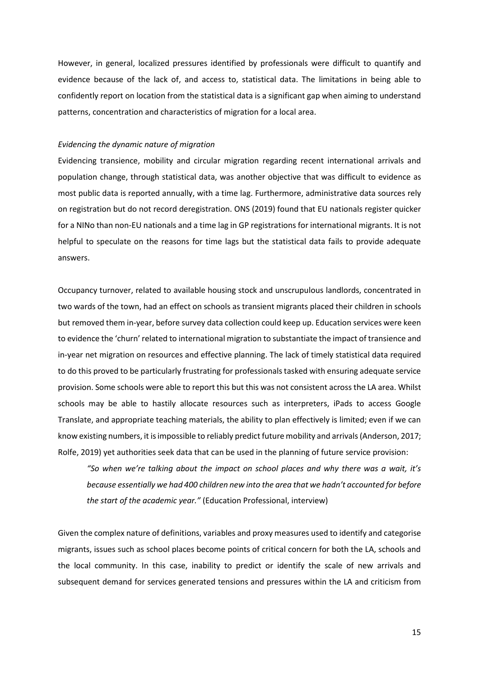However, in general, localized pressures identified by professionals were difficult to quantify and evidence because of the lack of, and access to, statistical data. The limitations in being able to confidently report on location from the statistical data is a significant gap when aiming to understand patterns, concentration and characteristics of migration for a local area.

#### *Evidencing the dynamic nature of migration*

Evidencing transience, mobility and circular migration regarding recent international arrivals and population change, through statistical data, was another objective that was difficult to evidence as most public data is reported annually, with a time lag. Furthermore, administrative data sources rely on registration but do not record deregistration. ONS (2019) found that EU nationals register quicker for a NINo than non-EU nationals and a time lag in GP registrations for international migrants. It is not helpful to speculate on the reasons for time lags but the statistical data fails to provide adequate answers.

Occupancy turnover, related to available housing stock and unscrupulous landlords, concentrated in two wards of the town, had an effect on schools as transient migrants placed their children in schools but removed them in-year, before survey data collection could keep up. Education services were keen to evidence the 'churn' related to international migration to substantiate the impact of transience and in-year net migration on resources and effective planning. The lack of timely statistical data required to do this proved to be particularly frustrating for professionals tasked with ensuring adequate service provision. Some schools were able to report this but this was not consistent across the LA area. Whilst schools may be able to hastily allocate resources such as interpreters, iPads to access Google Translate, and appropriate teaching materials, the ability to plan effectively is limited; even if we can know existing numbers, it is impossible to reliably predict future mobility and arrivals(Anderson, 2017; Rolfe, 2019) yet authorities seek data that can be used in the planning of future service provision:

*"So when we're talking about the impact on school places and why there was a wait, it's because essentially we had 400 children new into the area that we hadn't accounted for before the start of the academic year."* (Education Professional, interview)

Given the complex nature of definitions, variables and proxy measures used to identify and categorise migrants, issues such as school places become points of critical concern for both the LA, schools and the local community. In this case, inability to predict or identify the scale of new arrivals and subsequent demand for services generated tensions and pressures within the LA and criticism from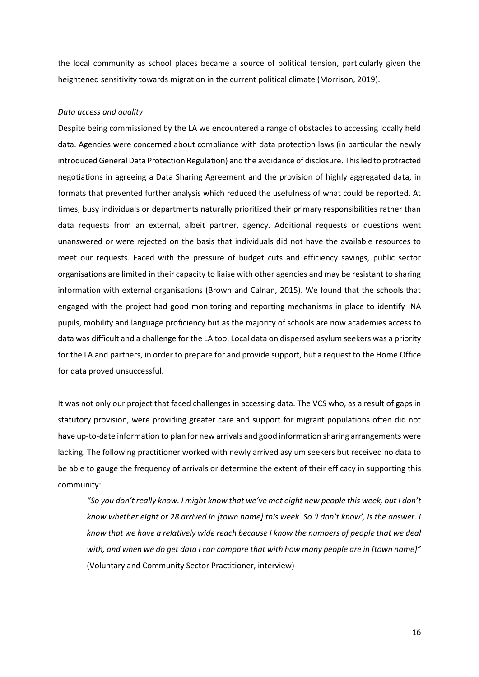the local community as school places became a source of political tension, particularly given the heightened sensitivity towards migration in the current political climate (Morrison, 2019).

#### *Data access and quality*

Despite being commissioned by the LA we encountered a range of obstacles to accessing locally held data. Agencies were concerned about compliance with data protection laws (in particular the newly introduced General Data Protection Regulation) and the avoidance of disclosure. This led to protracted negotiations in agreeing a Data Sharing Agreement and the provision of highly aggregated data, in formats that prevented further analysis which reduced the usefulness of what could be reported. At times, busy individuals or departments naturally prioritized their primary responsibilities rather than data requests from an external, albeit partner, agency. Additional requests or questions went unanswered or were rejected on the basis that individuals did not have the available resources to meet our requests. Faced with the pressure of budget cuts and efficiency savings, public sector organisations are limited in their capacity to liaise with other agencies and may be resistant to sharing information with external organisations (Brown and Calnan, 2015). We found that the schools that engaged with the project had good monitoring and reporting mechanisms in place to identify INA pupils, mobility and language proficiency but as the majority of schools are now academies access to data was difficult and a challenge for the LA too. Local data on dispersed asylum seekers was a priority for the LA and partners, in order to prepare for and provide support, but a request to the Home Office for data proved unsuccessful.

It was not only our project that faced challenges in accessing data. The VCS who, as a result of gaps in statutory provision, were providing greater care and support for migrant populations often did not have up-to-date information to plan for new arrivals and good information sharing arrangements were lacking. The following practitioner worked with newly arrived asylum seekers but received no data to be able to gauge the frequency of arrivals or determine the extent of their efficacy in supporting this community:

*"So you don't really know. I might know that we've met eight new people this week, but I don't know whether eight or 28 arrived in [town name] this week. So 'I don't know', is the answer. I know that we have a relatively wide reach because I know the numbers of people that we deal with, and when we do get data I can compare that with how many people are in [town name]"* (Voluntary and Community Sector Practitioner, interview)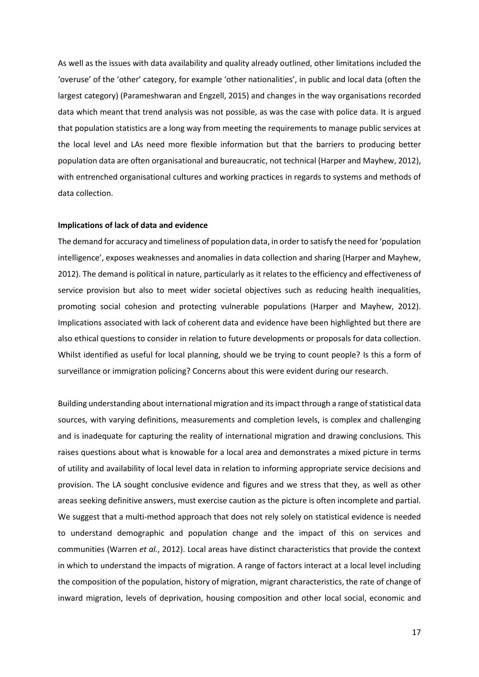As well as the issues with data availability and quality already outlined, other limitations included the 'overuse' of the 'other' category, for example 'other nationalities', in public and local data (often the largest category) (Parameshwaran and Engzell, 2015) and changes in the way organisations recorded data which meant that trend analysis was not possible, as was the case with police data. It is argued that population statistics are a long way from meeting the requirements to manage public services at the local level and LAs need more flexible information but that the barriers to producing better population data are often organisational and bureaucratic, not technical (Harper and Mayhew, 2012), with entrenched organisational cultures and working practices in regards to systems and methods of data collection.

#### **Implications of lack of data and evidence**

The demand for accuracy and timeliness of population data, in order to satisfy the need for 'population intelligence', exposes weaknesses and anomalies in data collection and sharing (Harper and Mayhew, 2012). The demand is political in nature, particularly as it relates to the efficiency and effectiveness of service provision but also to meet wider societal objectives such as reducing health inequalities, promoting social cohesion and protecting vulnerable populations (Harper and Mayhew, 2012). Implications associated with lack of coherent data and evidence have been highlighted but there are also ethical questions to consider in relation to future developments or proposals for data collection. Whilst identified as useful for local planning, should we be trying to count people? Is this a form of surveillance or immigration policing? Concerns about this were evident during our research.

Building understanding about international migration and its impact through a range of statistical data sources, with varying definitions, measurements and completion levels, is complex and challenging and is inadequate for capturing the reality of international migration and drawing conclusions. This raises questions about what is knowable for a local area and demonstrates a mixed picture in terms of utility and availability of local level data in relation to informing appropriate service decisions and provision. The LA sought conclusive evidence and figures and we stress that they, as well as other areas seeking definitive answers, must exercise caution as the picture is often incomplete and partial. We suggest that a multi-method approach that does not rely solely on statistical evidence is needed to understand demographic and population change and the impact of this on services and communities (Warren *et al.*, 2012). Local areas have distinct characteristics that provide the context in which to understand the impacts of migration. A range of factors interact at a local level including the composition of the population, history of migration, migrant characteristics, the rate of change of inward migration, levels of deprivation, housing composition and other local social, economic and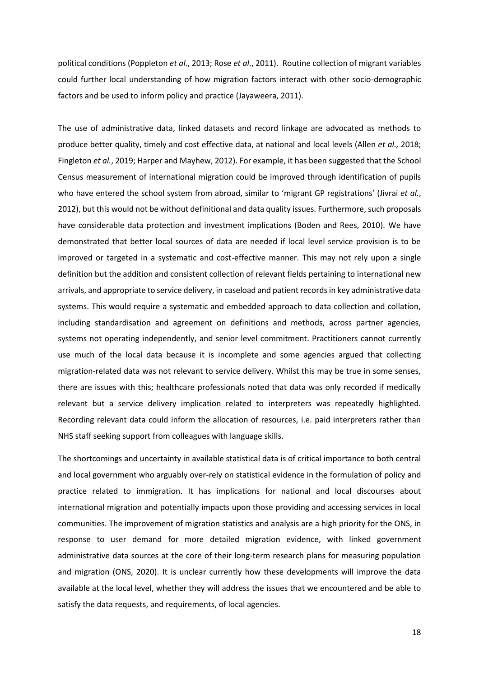political conditions (Poppleton *et al.*, 2013; Rose *et al*., 2011). Routine collection of migrant variables could further local understanding of how migration factors interact with other socio-demographic factors and be used to inform policy and practice (Jayaweera, 2011).

The use of administrative data, linked datasets and record linkage are advocated as methods to produce better quality, timely and cost effective data, at national and local levels (Allen *et al.,* 2018; Fingleton *et al.*, 2019; Harper and Mayhew, 2012). For example, it has been suggested that the School Census measurement of international migration could be improved through identification of pupils who have entered the school system from abroad, similar to 'migrant GP registrations' (Jivrai *et al.*, 2012), but this would not be without definitional and data quality issues. Furthermore, such proposals have considerable data protection and investment implications (Boden and Rees, 2010). We have demonstrated that better local sources of data are needed if local level service provision is to be improved or targeted in a systematic and cost-effective manner. This may not rely upon a single definition but the addition and consistent collection of relevant fields pertaining to international new arrivals, and appropriate to service delivery, in caseload and patient records in key administrative data systems. This would require a systematic and embedded approach to data collection and collation, including standardisation and agreement on definitions and methods, across partner agencies, systems not operating independently, and senior level commitment. Practitioners cannot currently use much of the local data because it is incomplete and some agencies argued that collecting migration-related data was not relevant to service delivery. Whilst this may be true in some senses, there are issues with this; healthcare professionals noted that data was only recorded if medically relevant but a service delivery implication related to interpreters was repeatedly highlighted. Recording relevant data could inform the allocation of resources, i.e. paid interpreters rather than NHS staff seeking support from colleagues with language skills.

The shortcomings and uncertainty in available statistical data is of critical importance to both central and local government who arguably over-rely on statistical evidence in the formulation of policy and practice related to immigration. It has implications for national and local discourses about international migration and potentially impacts upon those providing and accessing services in local communities. The improvement of migration statistics and analysis are a high priority for the ONS, in response to user demand for more detailed migration evidence, with linked government administrative data sources at the core of their long-term research plans for measuring population and migration (ONS, 2020). It is unclear currently how these developments will improve the data available at the local level, whether they will address the issues that we encountered and be able to satisfy the data requests, and requirements, of local agencies.

18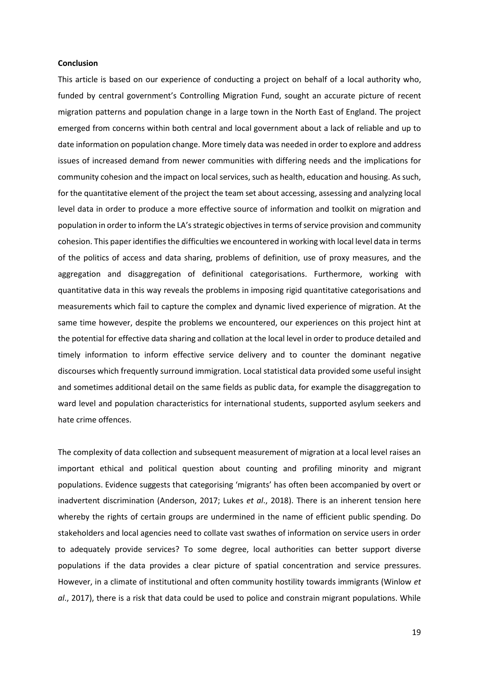#### **Conclusion**

This article is based on our experience of conducting a project on behalf of a local authority who, funded by central government's Controlling Migration Fund, sought an accurate picture of recent migration patterns and population change in a large town in the North East of England. The project emerged from concerns within both central and local government about a lack of reliable and up to date information on population change. More timely data was needed in order to explore and address issues of increased demand from newer communities with differing needs and the implications for community cohesion and the impact on local services, such as health, education and housing. As such, for the quantitative element of the project the team set about accessing, assessing and analyzing local level data in order to produce a more effective source of information and toolkit on migration and population in order to inform the LA's strategic objectives in terms of service provision and community cohesion. This paper identifies the difficulties we encountered in working with local level data in terms of the politics of access and data sharing, problems of definition, use of proxy measures, and the aggregation and disaggregation of definitional categorisations. Furthermore, working with quantitative data in this way reveals the problems in imposing rigid quantitative categorisations and measurements which fail to capture the complex and dynamic lived experience of migration. At the same time however, despite the problems we encountered, our experiences on this project hint at the potential for effective data sharing and collation at the local level in order to produce detailed and timely information to inform effective service delivery and to counter the dominant negative discourses which frequently surround immigration. Local statistical data provided some useful insight and sometimes additional detail on the same fields as public data, for example the disaggregation to ward level and population characteristics for international students, supported asylum seekers and hate crime offences.

The complexity of data collection and subsequent measurement of migration at a local level raises an important ethical and political question about counting and profiling minority and migrant populations. Evidence suggests that categorising 'migrants' has often been accompanied by overt or inadvertent discrimination (Anderson, 2017; Lukes *et al*., 2018). There is an inherent tension here whereby the rights of certain groups are undermined in the name of efficient public spending. Do stakeholders and local agencies need to collate vast swathes of information on service users in order to adequately provide services? To some degree, local authorities can better support diverse populations if the data provides a clear picture of spatial concentration and service pressures. However, in a climate of institutional and often community hostility towards immigrants (Winlow *et al*., 2017), there is a risk that data could be used to police and constrain migrant populations. While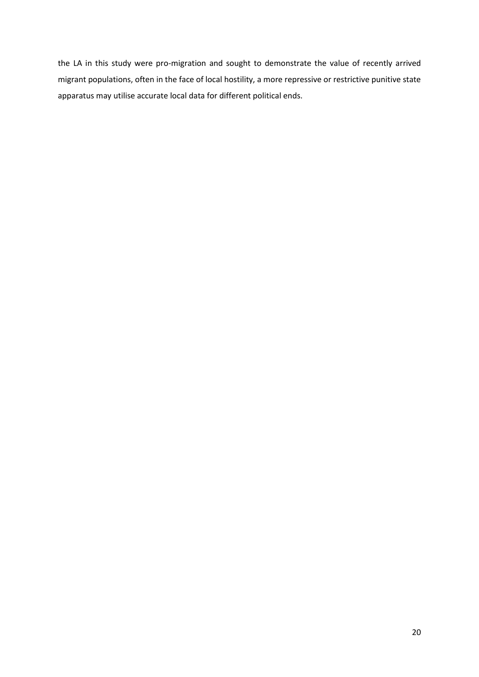the LA in this study were pro-migration and sought to demonstrate the value of recently arrived migrant populations, often in the face of local hostility, a more repressive or restrictive punitive state apparatus may utilise accurate local data for different political ends.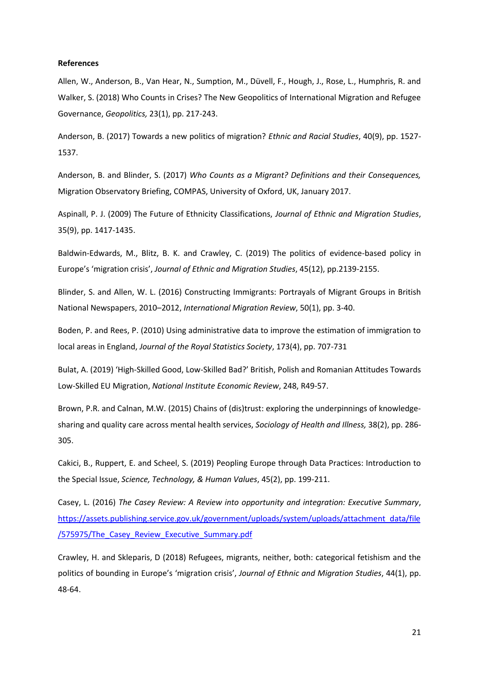#### **References**

Allen, W., Anderson, B., Van Hear, N., Sumption, M., Düvell, F., Hough, J., Rose, L., Humphris, R. and Walker, S. (2018) Who Counts in Crises? The New Geopolitics of International Migration and Refugee Governance, *Geopolitics,* 23(1), pp. 217-243.

Anderson, B. (2017) Towards a new politics of migration? *Ethnic and Racial Studies*, 40(9), pp. 1527- 1537.

Anderson, B. and Blinder, S. (2017) *Who Counts as a Migrant? Definitions and their Consequences,* Migration Observatory Briefing, COMPAS, University of Oxford, UK, January 2017.

Aspinall, P. J. (2009) The Future of Ethnicity Classifications, *Journal of Ethnic and Migration Studies*, 35(9), pp. 1417-1435.

Baldwin-Edwards, M., Blitz, B. K. and Crawley, C. (2019) The politics of evidence-based policy in Europe's 'migration crisis', *Journal of Ethnic and Migration Studies*, 45(12), pp.2139-2155.

Blinder, S. and Allen, W. L. (2016) Constructing Immigrants: Portrayals of Migrant Groups in British National Newspapers, 2010–2012, *International Migration Review*, 50(1), pp. 3-40.

Boden, P. and Rees, P. (2010) Using administrative data to improve the estimation of immigration to local areas in England, *Journal of the Royal Statistics Society*, 173(4), pp. 707-731

Bulat, A. (2019) 'High-Skilled Good, Low-Skilled Bad?' British, Polish and Romanian Attitudes Towards Low-Skilled EU Migration, *National Institute Economic Review*, 248, R49-57.

Brown, P.R. and Calnan, M.W. (2015) Chains of (dis)trust: exploring the underpinnings of knowledge‐ sharing and quality care across mental health services, *Sociology of Health and Illness,* 38(2), pp. 286- 305.

Cakici, B., Ruppert, E. and Scheel, S. (2019) Peopling Europe through Data Practices: Introduction to the Special Issue, *Science, Technology, & Human Values*, 45(2), pp. 199-211.

Casey, L. (2016) *The Casey Review: A Review into opportunity and integration: Executive Summary*, [https://assets.publishing.service.gov.uk/government/uploads/system/uploads/attachment\\_data/file](https://assets.publishing.service.gov.uk/government/uploads/system/uploads/attachment_data/file/575975/The_Casey_Review_Executive_Summary.pdf) [/575975/The\\_Casey\\_Review\\_Executive\\_Summary.pdf](https://assets.publishing.service.gov.uk/government/uploads/system/uploads/attachment_data/file/575975/The_Casey_Review_Executive_Summary.pdf)

Crawley, H. and Skleparis, D (2018) Refugees, migrants, neither, both: categorical fetishism and the politics of bounding in Europe's 'migration crisis', *Journal of Ethnic and Migration Studies*, 44(1), pp. 48-64.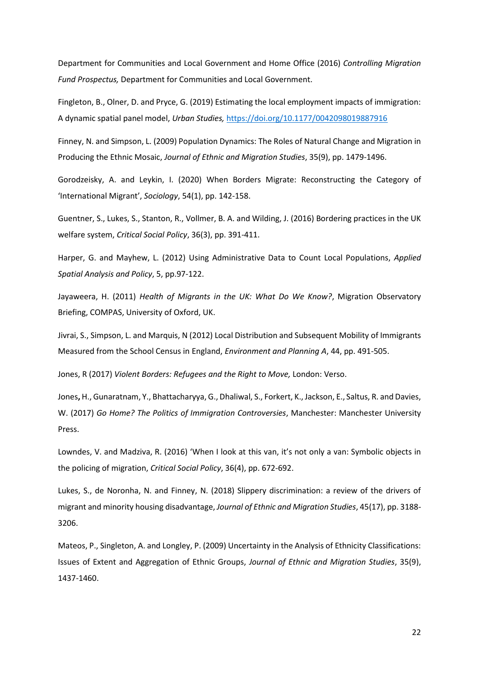Department for Communities and Local Government and Home Office (2016) *Controlling Migration Fund Prospectus,* Department for Communities and Local Government.

Fingleton, B., Olner, D. and Pryce, G. (2019) Estimating the local employment impacts of immigration: A dynamic spatial panel model, *Urban Studies,* [https://doi.org/10.1177/0042098019887916](https://doi.org/10.1177%2F0042098019887916)

Finney, N. and Simpson, L. (2009) Population Dynamics: The Roles of Natural Change and Migration in Producing the Ethnic Mosaic, *Journal of Ethnic and Migration Studies*, 35(9), pp. 1479-1496.

Gorodzeisky, A. and Leykin, I. (2020) When Borders Migrate: Reconstructing the Category of 'International Migrant', *Sociology*, 54(1), pp. 142-158.

Guentner, S., Lukes, S., Stanton, R., Vollmer, B. A. and Wilding, J. (2016) Bordering practices in the UK welfare system, *Critical Social Policy*, 36(3), pp. 391-411.

Harper, G. and Mayhew, L. (2012) Using Administrative Data to Count Local Populations, *Applied Spatial Analysis and Policy*, 5, pp.97-122.

Jayaweera, H. (2011) *Health of Migrants in the UK: What Do We Know?*, Migration Observatory Briefing, COMPAS, University of Oxford, UK.

Jivrai, S., Simpson, L. and Marquis, N (2012) Local Distribution and Subsequent Mobility of Immigrants Measured from the School Census in England, *Environment and Planning A*, 44, pp. 491-505.

Jones, R (2017) *Violent Borders: Refugees and the Right to Move,* London: Verso.

Jones**,** H., Gunaratnam, Y., Bhattacharyya, G., Dhaliwal, S., Forkert, K., Jackson, E., Saltus, R. and Davies, W. (2017) *Go Home? The Politics of Immigration Controversies*, Manchester: Manchester University Press.

Lowndes, V. and Madziva, R. (2016) 'When I look at this van, it's not only a van: Symbolic objects in the policing of migration, *Critical Social Policy*, 36(4), pp. 672-692.

Lukes, S., de Noronha, N. and Finney, N. (2018) Slippery discrimination: a review of the drivers of migrant and minority housing disadvantage, *Journal of Ethnic and Migration Studies*, 45(17), pp. 3188- 3206.

Mateos, P., Singleton, A. and Longley, P. (2009) Uncertainty in the Analysis of Ethnicity Classifications: Issues of Extent and Aggregation of Ethnic Groups, *Journal of Ethnic and Migration Studies*, 35(9), 1437-1460.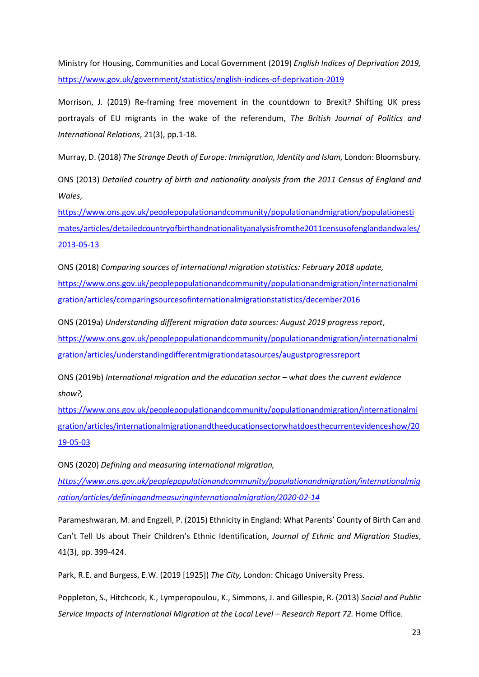Ministry for Housing, Communities and Local Government (2019) *English Indices of Deprivation 2019,*  <https://www.gov.uk/government/statistics/english-indices-of-deprivation-2019>

Morrison, J. (2019) Re-framing free movement in the countdown to Brexit? Shifting UK press portrayals of EU migrants in the wake of the referendum, *The British Journal of Politics and International Relations*, 21(3), pp.1-18.

Murray, D. (2018) *The Strange Death of Europe: Immigration, Identity and Islam,* London: Bloomsbury.

ONS (2013) *Detailed country of birth and nationality analysis from the 2011 Census of England and Wales*,

[https://www.ons.gov.uk/peoplepopulationandcommunity/populationandmigration/populationesti](https://www.ons.gov.uk/peoplepopulationandcommunity/populationandmigration/populationestimates/articles/detailedcountryofbirthandnationalityanalysisfromthe2011censusofenglandandwales/2013-05-13) [mates/articles/detailedcountryofbirthandnationalityanalysisfromthe2011censusofenglandandwales/](https://www.ons.gov.uk/peoplepopulationandcommunity/populationandmigration/populationestimates/articles/detailedcountryofbirthandnationalityanalysisfromthe2011censusofenglandandwales/2013-05-13) [2013-05-13](https://www.ons.gov.uk/peoplepopulationandcommunity/populationandmigration/populationestimates/articles/detailedcountryofbirthandnationalityanalysisfromthe2011censusofenglandandwales/2013-05-13)

ONS (2018) *Comparing sources of international migration statistics: February 2018 update,* [https://www.ons.gov.uk/peoplepopulationandcommunity/populationandmigration/internationalmi](https://www.ons.gov.uk/peoplepopulationandcommunity/populationandmigration/internationalmigration/articles/comparingsourcesofinternationalmigrationstatistics/december2016) [gration/articles/comparingsourcesofinternationalmigrationstatistics/december2016](https://www.ons.gov.uk/peoplepopulationandcommunity/populationandmigration/internationalmigration/articles/comparingsourcesofinternationalmigrationstatistics/december2016)

ONS (2019a) *Understanding different migration data sources: August 2019 progress report*, [https://www.ons.gov.uk/peoplepopulationandcommunity/populationandmigration/internationalmi](https://www.ons.gov.uk/peoplepopulationandcommunity/populationandmigration/internationalmigration/articles/understandingdifferentmigrationdatasources/augustprogressreport) [gration/articles/understandingdifferentmigrationdatasources/augustprogressreport](https://www.ons.gov.uk/peoplepopulationandcommunity/populationandmigration/internationalmigration/articles/understandingdifferentmigrationdatasources/augustprogressreport)

ONS (2019b) *International migration and the education sector – what does the current evidence show?,* 

[https://www.ons.gov.uk/peoplepopulationandcommunity/populationandmigration/internationalmi](https://www.ons.gov.uk/peoplepopulationandcommunity/populationandmigration/internationalmigration/articles/internationalmigrationandtheeducationsectorwhatdoesthecurrentevidenceshow/2019-05-03) [gration/articles/internationalmigrationandtheeducationsectorwhatdoesthecurrentevidenceshow/20](https://www.ons.gov.uk/peoplepopulationandcommunity/populationandmigration/internationalmigration/articles/internationalmigrationandtheeducationsectorwhatdoesthecurrentevidenceshow/2019-05-03) [19-05-03](https://www.ons.gov.uk/peoplepopulationandcommunity/populationandmigration/internationalmigration/articles/internationalmigrationandtheeducationsectorwhatdoesthecurrentevidenceshow/2019-05-03)

ONS (2020) *Defining and measuring international migration, [https://www.ons.gov.uk/peoplepopulationandcommunity/populationandmigration/internationalmig](https://www.ons.gov.uk/peoplepopulationandcommunity/populationandmigration/internationalmigration/articles/definingandmeasuringinternationalmigration/2020-02-14) [ration/articles/definingandmeasuringinternationalmigration/2020-02-14](https://www.ons.gov.uk/peoplepopulationandcommunity/populationandmigration/internationalmigration/articles/definingandmeasuringinternationalmigration/2020-02-14)*

Parameshwaran, M. and Engzell, P. (2015) Ethnicity in England: What Parents' County of Birth Can and Can't Tell Us about Their Children's Ethnic Identification, *Journal of Ethnic and Migration Studies*, 41(3), pp. 399-424.

Park, R.E. and Burgess, E.W. (2019 [1925]) *The City,* London: Chicago University Press.

Poppleton, S., Hitchcock, K., Lymperopoulou, K., Simmons, J. and Gillespie, R. (2013) *Social and Public Service Impacts of International Migration at the Local Level – Research Report 72.* Home Office.